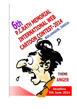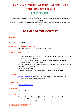# **6th P.C.RATH MEMORIAL INTERNATIONAL WEB CARTOON CONTEST-2014**

### **BOLANGIR, INDIA**

In remembrance of Historian Purna Chandra Rath, Superintendent of Archeology, Patna State, Bolangir,

P.C. Rath Memorial Trust invites cartoons from both professional and amateur cartoonists of the world.

## **DETAILS OF THE CONTEST**

## **Rules:**

#### **1. THEME: ANGER**

#### **2. MAXIMUM NUMBER OF ENTRIES:**

**One** (Any technique: Black & white; Colour; Digital)

#### **3. ABOUT THE CARTOON:**

- A) Only one unpublished Cartoon is to be sent as **e-mail** attachment. (Don't send previously awarded cartoon)
- B) The **e-mail** should also have **Full Name** and **Complete Postal Address** of the participant in CAPITAL LETTERS.

C) The **Entry Form** (only in MSWord) must accompany the cartoon as attached mail (See Entry form below)

D) Size: 21 x 30 cm (**A-4**)

E) Cartoon should be in **JPG** format (strictly **100dpi**) (Maximum **1MB**).

#### **4. E-MAIL:**

[pcrcon6@yahoo.com](mailto:pcrcon6@yahoo.com) (Write Full Name and Complete Postal Address in CAPITAL LETTERS in the email accompanying the cartoon)

#### **WEB SITE:**

[www.aswiniabani.com](http://aswiniabani.com/PCR-CONTEST-5/www.aswiniabani.com)

#### **5. DEADLINE:**

**5 th June 2014**

#### **6. THE PRIZES:**

There will be **07** prizes (**First, Second, Third, Special mention-2 and Honourable mention-2**). All the prize winners will be awarded with a Diploma Certificate and a CD album of selected cartoons.

#### **7. RESULT AND EXHIBITION:**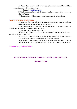A) Result of the contest is likely to be declared in the **last week of June 2014** and selected cartoons will be exhibited in the

website: [www.aswiniabani.com](http://aswiniabani.com/PCR-CONTEST-5/www.aswiniabani.com )

B) The Diploma certificates and CD albums for all the winners will be sent by post after the function.

C) The exhibitions will be organized from June onwards in various places.

#### **8. RIGHTS OF THE ORGANIZER:**

A) Once sent, the works belong to the organizing committee. It can be published, distributed or used for promotional purpose in future.

 B) Cartoons should be downloadable and clear. Committee would not be responsible in situations like net-failure, undownloadable cartoon etc.

It is therefore advised to keep the file small.

 C) Plagiarism, if detected, the entry will be summarily rejected or even the diploma would be withdrawn, if awarded.

> D) In case of a dispute, decision of the Committee would be final. The committee reserves all rights to cancel or modify any of the rules/conditions.

> Participants are considered to have accepted all the conditions and are aware that their submissions may be reprinted and used without future monetary compensation.

**Convener Jury: Aswini and Abani**

#### **6th P.C.RATH MEMORIAL INTERNATIONAL WEB CARTOON**

#### **CONTEST-2014**